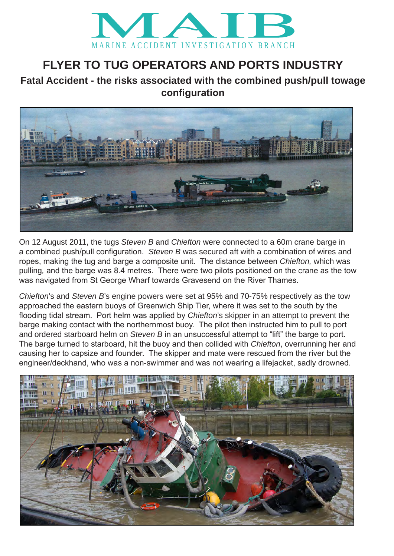

## **FLYER TO TUG OPERATORS AND PORTS INDUSTRY**

## **Fatal Accident - the risks associated with the combined push/pull towage configuration**



On 12 August 2011, the tugs *Steven B* and *Chiefton* were connected to a 60m crane barge in a combined push/pull configuration. *Steven B* was secured aft with a combination of wires and ropes, making the tug and barge a composite unit. The distance between *Chiefton,* which was pulling*,* and the barge was 8.4 metres. There were two pilots positioned on the crane as the tow was navigated from St George Wharf towards Gravesend on the River Thames.

*Chiefton*'s and *Steven B*'s engine powers were set at 95% and 70-75% respectively as the tow approached the eastern buoys of Greenwich Ship Tier, where it was set to the south by the flooding tidal stream. Port helm was applied by *Chiefton*'s skipper in an attempt to prevent the barge making contact with the northernmost buoy. The pilot then instructed him to pull to port and ordered starboard helm on *Steven B* in an unsuccessful attempt to "lift" the barge to port. The barge turned to starboard, hit the buoy and then collided with *Chiefton*, overrunning her and causing her to capsize and founder. The skipper and mate were rescued from the river but the engineer/deckhand, who was a non-swimmer and was not wearing a lifejacket, sadly drowned.